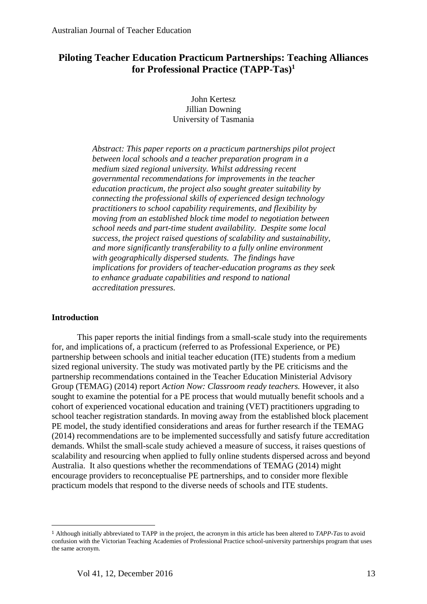# **Piloting Teacher Education Practicum Partnerships: Teaching Alliances for Professional Practice (TAPP-Tas) 1**

John Kertesz Jillian Downing University of Tasmania

*Abstract: This paper reports on a practicum partnerships pilot project between local schools and a teacher preparation program in a medium sized regional university. Whilst addressing recent governmental recommendations for improvements in the teacher education practicum, the project also sought greater suitability by connecting the professional skills of experienced design technology practitioners to school capability requirements, and flexibility by moving from an established block time model to negotiation between school needs and part-time student availability. Despite some local success, the project raised questions of scalability and sustainability, and more significantly transferability to a fully online environment with geographically dispersed students. The findings have implications for providers of teacher-education programs as they seek to enhance graduate capabilities and respond to national accreditation pressures.*

## **Introduction**

 $\overline{\phantom{a}}$ 

This paper reports the initial findings from a small-scale study into the requirements for, and implications of, a practicum (referred to as Professional Experience, or PE) partnership between schools and initial teacher education (ITE) students from a medium sized regional university. The study was motivated partly by the PE criticisms and the partnership recommendations contained in the Teacher Education Ministerial Advisory Group (TEMAG) (2014) report *Action Now: Classroom ready teachers.* However, it also sought to examine the potential for a PE process that would mutually benefit schools and a cohort of experienced vocational education and training (VET) practitioners upgrading to school teacher registration standards. In moving away from the established block placement PE model, the study identified considerations and areas for further research if the TEMAG (2014) recommendations are to be implemented successfully and satisfy future accreditation demands. Whilst the small-scale study achieved a measure of success, it raises questions of scalability and resourcing when applied to fully online students dispersed across and beyond Australia. It also questions whether the recommendations of TEMAG (2014) might encourage providers to reconceptualise PE partnerships, and to consider more flexible practicum models that respond to the diverse needs of schools and ITE students.

<sup>1</sup> Although initially abbreviated to TAPP in the project, the acronym in this article has been altered to *TAPP-Tas* to avoid confusion with the Victorian Teaching Academies of Professional Practice school-university partnerships program that uses the same acronym.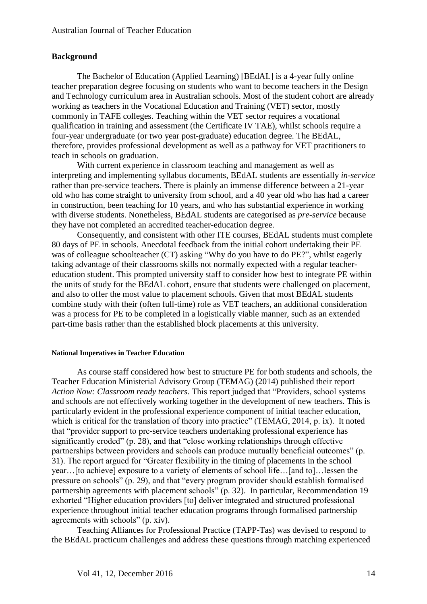# **Background**

The Bachelor of Education (Applied Learning) [BEdAL] is a 4-year fully online teacher preparation degree focusing on students who want to become teachers in the Design and Technology curriculum area in Australian schools. Most of the student cohort are already working as teachers in the Vocational Education and Training (VET) sector, mostly commonly in TAFE colleges. Teaching within the VET sector requires a vocational qualification in training and assessment (the Certificate IV TAE), whilst schools require a four-year undergraduate (or two year post-graduate) education degree. The BEdAL, therefore, provides professional development as well as a pathway for VET practitioners to teach in schools on graduation.

With current experience in classroom teaching and management as well as interpreting and implementing syllabus documents, BEdAL students are essentially *in-service* rather than pre-service teachers. There is plainly an immense difference between a 21-year old who has come straight to university from school, and a 40 year old who has had a career in construction, been teaching for 10 years, and who has substantial experience in working with diverse students. Nonetheless, BEdAL students are categorised as *pre-service* because they have not completed an accredited teacher-education degree.

Consequently, and consistent with other ITE courses, BEdAL students must complete 80 days of PE in schools. Anecdotal feedback from the initial cohort undertaking their PE was of colleague schoolteacher (CT) asking "Why do you have to do PE?", whilst eagerly taking advantage of their classrooms skills not normally expected with a regular teachereducation student. This prompted university staff to consider how best to integrate PE within the units of study for the BEdAL cohort, ensure that students were challenged on placement, and also to offer the most value to placement schools. Given that most BEdAL students combine study with their (often full-time) role as VET teachers, an additional consideration was a process for PE to be completed in a logistically viable manner, such as an extended part-time basis rather than the established block placements at this university.

#### **National Imperatives in Teacher Education**

As course staff considered how best to structure PE for both students and schools, the Teacher Education Ministerial Advisory Group (TEMAG) (2014) published their report *Action Now: Classroom ready teachers*. This report judged that "Providers, school systems and schools are not effectively working together in the development of new teachers. This is particularly evident in the professional experience component of initial teacher education, which is critical for the translation of theory into practice" (TEMAG, 2014, p. ix). It noted that "provider support to pre-service teachers undertaking professional experience has significantly eroded" (p. 28), and that "close working relationships through effective partnerships between providers and schools can produce mutually beneficial outcomes" (p. 31). The report argued for "Greater flexibility in the timing of placements in the school year…[to achieve] exposure to a variety of elements of school life…[and to]…lessen the pressure on schools" (p. 29), and that "every program provider should establish formalised partnership agreements with placement schools" (p. 32). In particular, Recommendation 19 exhorted "Higher education providers [to] deliver integrated and structured professional experience throughout initial teacher education programs through formalised partnership agreements with schools" (p. xiv).

Teaching Alliances for Professional Practice (TAPP-Tas) was devised to respond to the BEdAL practicum challenges and address these questions through matching experienced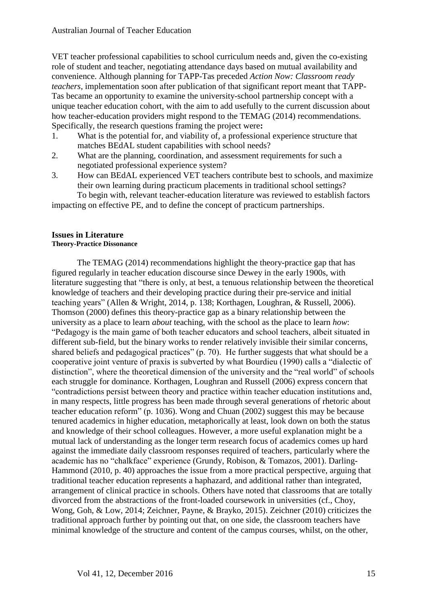VET teacher professional capabilities to school curriculum needs and, given the co-existing role of student and teacher, negotiating attendance days based on mutual availability and convenience. Although planning for TAPP-Tas preceded *Action Now: Classroom ready teachers*, implementation soon after publication of that significant report meant that TAPP-Tas became an opportunity to examine the university-school partnership concept with a unique teacher education cohort, with the aim to add usefully to the current discussion about how teacher-education providers might respond to the TEMAG (2014) recommendations. Specifically, the research questions framing the project were**:**

- 1. What is the potential for, and viability of, a professional experience structure that matches BEdAL student capabilities with school needs?
- 2. What are the planning, coordination, and assessment requirements for such a negotiated professional experience system?
- 3. How can BEdAL experienced VET teachers contribute best to schools, and maximize their own learning during practicum placements in traditional school settings? To begin with, relevant teacher-education literature was reviewed to establish factors

impacting on effective PE, and to define the concept of practicum partnerships.

### **Issues in Literature Theory-Practice Dissonance**

The TEMAG (2014) recommendations highlight the theory-practice gap that has figured regularly in teacher education discourse since Dewey in the early 1900s, with literature suggesting that "there is only, at best, a tenuous relationship between the theoretical knowledge of teachers and their developing practice during their pre-service and initial teaching years" (Allen & Wright, 2014, p. 138; Korthagen, Loughran, & Russell, 2006). Thomson (2000) defines this theory-practice gap as a binary relationship between the university as a place to learn *about* teaching, with the school as the place to learn *how*: "Pedagogy is the main game of both teacher educators and school teachers, albeit situated in different sub-field, but the binary works to render relatively invisible their similar concerns, shared beliefs and pedagogical practices" (p. 70). He further suggests that what should be a cooperative joint venture of praxis is subverted by what Bourdieu (1990) calls a "dialectic of distinction", where the theoretical dimension of the university and the "real world" of schools each struggle for dominance. Korthagen, Loughran and Russell (2006) express concern that "contradictions persist between theory and practice within teacher education institutions and, in many respects, little progress has been made through several generations of rhetoric about teacher education reform" (p. 1036). Wong and Chuan (2002) suggest this may be because tenured academics in higher education, metaphorically at least, look down on both the status and knowledge of their school colleagues. However, a more useful explanation might be a mutual lack of understanding as the longer term research focus of academics comes up hard against the immediate daily classroom responses required of teachers, particularly where the academic has no "chalkface" experience (Grundy, Robison, & Tomazos, 2001). Darling-Hammond (2010, p. 40) approaches the issue from a more practical perspective, arguing that traditional teacher education represents a haphazard, and additional rather than integrated, arrangement of clinical practice in schools. Others have noted that classrooms that are totally divorced from the abstractions of the front-loaded coursework in universities (cf., Choy, Wong, Goh, & Low, 2014; Zeichner, Payne, & Brayko, 2015). Zeichner (2010) criticizes the traditional approach further by pointing out that, on one side, the classroom teachers have minimal knowledge of the structure and content of the campus courses, whilst, on the other,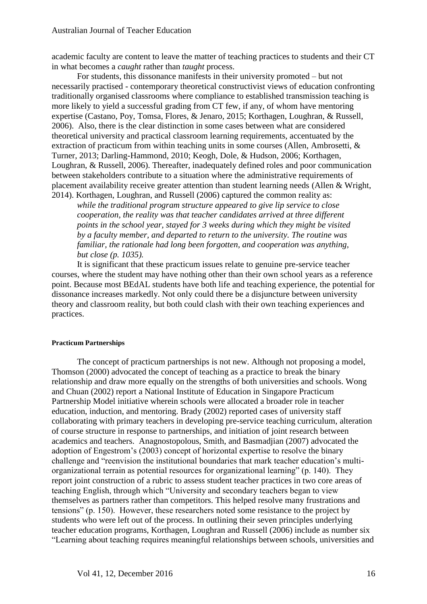academic faculty are content to leave the matter of teaching practices to students and their CT in what becomes a *caught* rather than *taught* process.

For students, this dissonance manifests in their university promoted – but not necessarily practised - contemporary theoretical constructivist views of education confronting traditionally organised classrooms where compliance to established transmission teaching is more likely to yield a successful grading from CT few, if any, of whom have mentoring expertise (Castano, Poy, Tomsa, Flores, & Jenaro, 2015; Korthagen, Loughran, & Russell, 2006). Also, there is the clear distinction in some cases between what are considered theoretical university and practical classroom learning requirements, accentuated by the extraction of practicum from within teaching units in some courses (Allen, Ambrosetti, & Turner, 2013; Darling-Hammond, 2010; Keogh, Dole, & Hudson, 2006; Korthagen, Loughran, & Russell, 2006). Thereafter, inadequately defined roles and poor communication between stakeholders contribute to a situation where the administrative requirements of placement availability receive greater attention than student learning needs (Allen & Wright, 2014). Korthagen, Loughran, and Russell (2006) captured the common reality as:

*while the traditional program structure appeared to give lip service to close cooperation, the reality was that teacher candidates arrived at three different points in the school year, stayed for 3 weeks during which they might be visited by a faculty member, and departed to return to the university. The routine was familiar, the rationale had long been forgotten, and cooperation was anything, but close (p. 1035).*

It is significant that these practicum issues relate to genuine pre-service teacher courses, where the student may have nothing other than their own school years as a reference point. Because most BEdAL students have both life and teaching experience, the potential for dissonance increases markedly. Not only could there be a disjuncture between university theory and classroom reality, but both could clash with their own teaching experiences and practices.

### **Practicum Partnerships**

The concept of practicum partnerships is not new. Although not proposing a model, Thomson (2000) advocated the concept of teaching as a practice to break the binary relationship and draw more equally on the strengths of both universities and schools. Wong and Chuan (2002) report a National Institute of Education in Singapore Practicum Partnership Model initiative wherein schools were allocated a broader role in teacher education, induction, and mentoring. Brady (2002) reported cases of university staff collaborating with primary teachers in developing pre-service teaching curriculum, alteration of course structure in response to partnerships, and initiation of joint research between academics and teachers. Anagnostopolous, Smith, and Basmadjian (2007) advocated the adoption of Engestrom's (2003) concept of horizontal expertise to resolve the binary challenge and "reenvision the institutional boundaries that mark teacher education's multiorganizational terrain as potential resources for organizational learning" (p. 140). They report joint construction of a rubric to assess student teacher practices in two core areas of teaching English, through which "University and secondary teachers began to view themselves as partners rather than competitors. This helped resolve many frustrations and tensions" (p. 150). However, these researchers noted some resistance to the project by students who were left out of the process. In outlining their seven principles underlying teacher education programs, Korthagen, Loughran and Russell (2006) include as number six "Learning about teaching requires meaningful relationships between schools, universities and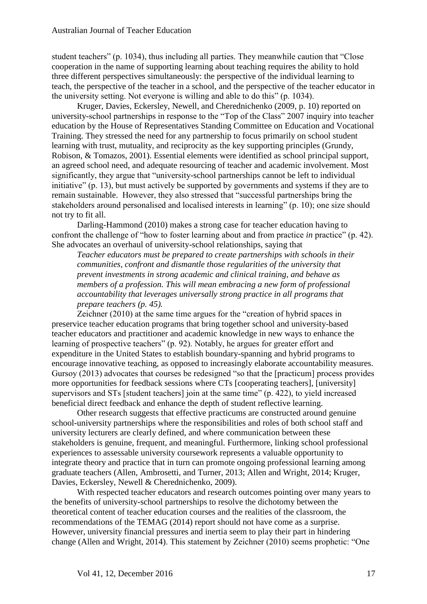student teachers" (p. 1034), thus including all parties. They meanwhile caution that "Close cooperation in the name of supporting learning about teaching requires the ability to hold three different perspectives simultaneously: the perspective of the individual learning to teach, the perspective of the teacher in a school, and the perspective of the teacher educator in the university setting. Not everyone is willing and able to do this" (p. 1034).

Kruger, Davies, Eckersley, Newell, and Cherednichenko (2009, p. 10) reported on university-school partnerships in response to the "Top of the Class" 2007 inquiry into teacher education by the House of Representatives Standing Committee on Education and Vocational Training. They stressed the need for any partnership to focus primarily on school student learning with trust, mutuality, and reciprocity as the key supporting principles (Grundy, Robison, & Tomazos, 2001). Essential elements were identified as school principal support, an agreed school need, and adequate resourcing of teacher and academic involvement. Most significantly, they argue that "university-school partnerships cannot be left to individual initiative" (p. 13), but must actively be supported by governments and systems if they are to remain sustainable. However, they also stressed that "successful partnerships bring the stakeholders around personalised and localised interests in learning" (p. 10); one size should not try to fit all.

Darling-Hammond (2010) makes a strong case for teacher education having to confront the challenge of "how to foster learning about and from practice *in* practice" (p. 42). She advocates an overhaul of university-school relationships, saying that

*Teacher educators must be prepared to create partnerships with schools in their communities, confront and dismantle those regularities of the university that prevent investments in strong academic and clinical training, and behave as members of a profession. This will mean embracing a new form of professional accountability that leverages universally strong practice in all programs that prepare teachers (p. 45).* 

Zeichner (2010) at the same time argues for the "creation of hybrid spaces in preservice teacher education programs that bring together school and university-based teacher educators and practitioner and academic knowledge in new ways to enhance the learning of prospective teachers" (p. 92). Notably, he argues for greater effort and expenditure in the United States to establish boundary-spanning and hybrid programs to encourage innovative teaching, as opposed to increasingly elaborate accountability measures. Gursoy (2013) advocates that courses be redesigned "so that the [practicum] process provides more opportunities for feedback sessions where CTs [cooperating teachers], [university] supervisors and STs [student teachers] join at the same time" (p. 422), to yield increased beneficial direct feedback and enhance the depth of student reflective learning.

Other research suggests that effective practicums are constructed around genuine school-university partnerships where the responsibilities and roles of both school staff and university lecturers are clearly defined, and where communication between these stakeholders is genuine, frequent, and meaningful. Furthermore, linking school professional experiences to assessable university coursework represents a valuable opportunity to integrate theory and practice that in turn can promote ongoing professional learning among graduate teachers (Allen, Ambrosetti, and Turner, 2013; Allen and Wright, 2014; Kruger, Davies, Eckersley, Newell & Cherednichenko, 2009).

With respected teacher educators and research outcomes pointing over many years to the benefits of university-school partnerships to resolve the dichotomy between the theoretical content of teacher education courses and the realities of the classroom, the recommendations of the TEMAG (2014) report should not have come as a surprise. However, university financial pressures and inertia seem to play their part in hindering change (Allen and Wright, 2014). This statement by Zeichner (2010) seems prophetic: "One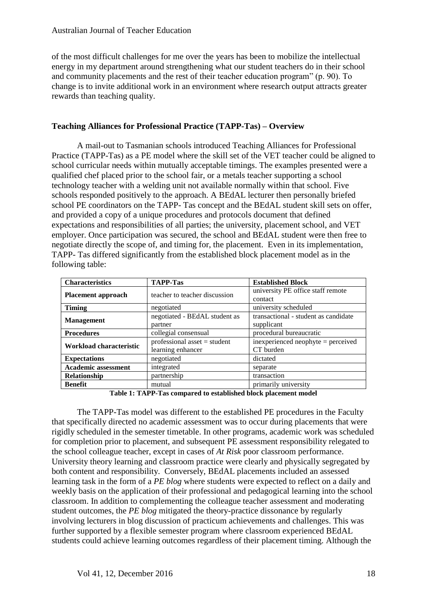of the most difficult challenges for me over the years has been to mobilize the intellectual energy in my department around strengthening what our student teachers do in their school and community placements and the rest of their teacher education program" (p. 90). To change is to invite additional work in an environment where research output attracts greater rewards than teaching quality.

# **Teaching Alliances for Professional Practice (TAPP-Tas) – Overview**

A mail-out to Tasmanian schools introduced Teaching Alliances for Professional Practice (TAPP-Tas) as a PE model where the skill set of the VET teacher could be aligned to school curricular needs within mutually acceptable timings. The examples presented were a qualified chef placed prior to the school fair, or a metals teacher supporting a school technology teacher with a welding unit not available normally within that school. Five schools responded positively to the approach. A BEdAL lecturer then personally briefed school PE coordinators on the TAPP- Tas concept and the BEdAL student skill sets on offer, and provided a copy of a unique procedures and protocols document that defined expectations and responsibilities of all parties; the university, placement school, and VET employer. Once participation was secured, the school and BEdAL student were then free to negotiate directly the scope of, and timing for, the placement. Even in its implementation, TAPP- Tas differed significantly from the established block placement model as in the following table:

| <b>Characteristics</b>     | <b>TAPP-Tas</b>                                     | <b>Established Block</b>                           |
|----------------------------|-----------------------------------------------------|----------------------------------------------------|
| <b>Placement approach</b>  | teacher to teacher discussion                       | university PE office staff remote<br>contact       |
| <b>Timing</b>              | negotiated                                          | university scheduled                               |
| <b>Management</b>          | negotiated - BEdAL student as<br>partner            | transactional - student as candidate<br>supplicant |
| <b>Procedures</b>          | collegial consensual                                | procedural bureaucratic                            |
| Workload characteristic    | professional asset $=$ student<br>learning enhancer | inexperienced neophyte $=$ perceived<br>CT burden  |
| <b>Expectations</b>        | negotiated                                          | dictated                                           |
| <b>Academic assessment</b> | integrated                                          | separate                                           |
| Relationship               | partnership                                         | transaction                                        |
| <b>Benefit</b>             | mutual                                              | primarily university                               |

**Table 1: TAPP-Tas compared to established block placement model**

The TAPP-Tas model was different to the established PE procedures in the Faculty that specifically directed no academic assessment was to occur during placements that were rigidly scheduled in the semester timetable. In other programs, academic work was scheduled for completion prior to placement, and subsequent PE assessment responsibility relegated to the school colleague teacher, except in cases of *At Risk* poor classroom performance. University theory learning and classroom practice were clearly and physically segregated by both content and responsibility. Conversely, BEdAL placements included an assessed learning task in the form of a *PE blog* where students were expected to reflect on a daily and weekly basis on the application of their professional and pedagogical learning into the school classroom. In addition to complementing the colleague teacher assessment and moderating student outcomes, the *PE blog* mitigated the theory-practice dissonance by regularly involving lecturers in blog discussion of practicum achievements and challenges. This was further supported by a flexible semester program where classroom experienced BEdAL students could achieve learning outcomes regardless of their placement timing. Although the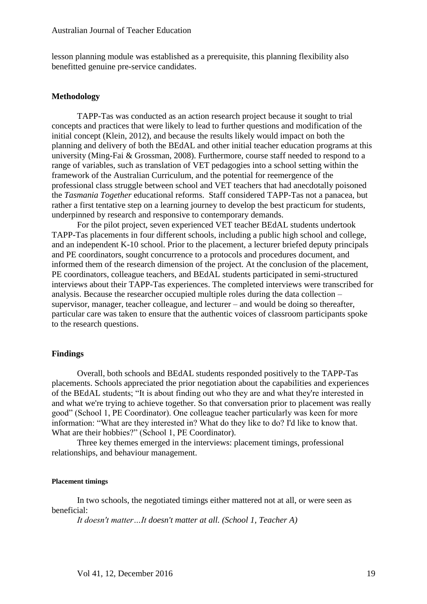lesson planning module was established as a prerequisite, this planning flexibility also benefitted genuine pre-service candidates.

#### **Methodology**

TAPP-Tas was conducted as an action research project because it sought to trial concepts and practices that were likely to lead to further questions and modification of the initial concept (Klein, 2012), and because the results likely would impact on both the planning and delivery of both the BEdAL and other initial teacher education programs at this university (Ming-Fai & Grossman, 2008). Furthermore, course staff needed to respond to a range of variables, such as translation of VET pedagogies into a school setting within the framework of the Australian Curriculum, and the potential for reemergence of the professional class struggle between school and VET teachers that had anecdotally poisoned the *Tasmania Together* educational reforms. Staff considered TAPP-Tas not a panacea, but rather a first tentative step on a learning journey to develop the best practicum for students, underpinned by research and responsive to contemporary demands.

For the pilot project, seven experienced VET teacher BEdAL students undertook TAPP-Tas placements in four different schools, including a public high school and college, and an independent K-10 school. Prior to the placement, a lecturer briefed deputy principals and PE coordinators, sought concurrence to a protocols and procedures document, and informed them of the research dimension of the project. At the conclusion of the placement, PE coordinators, colleague teachers, and BEdAL students participated in semi-structured interviews about their TAPP-Tas experiences. The completed interviews were transcribed for analysis. Because the researcher occupied multiple roles during the data collection – supervisor, manager, teacher colleague, and lecturer – and would be doing so thereafter, particular care was taken to ensure that the authentic voices of classroom participants spoke to the research questions.

#### **Findings**

Overall, both schools and BEdAL students responded positively to the TAPP-Tas placements. Schools appreciated the prior negotiation about the capabilities and experiences of the BEdAL students; "It is about finding out who they are and what they're interested in and what we're trying to achieve together. So that conversation prior to placement was really good" (School 1, PE Coordinator). One colleague teacher particularly was keen for more information: "What are they interested in? What do they like to do? I'd like to know that. What are their hobbies?" (School 1, PE Coordinator).

Three key themes emerged in the interviews: placement timings, professional relationships, and behaviour management.

#### **Placement timings**

In two schools, the negotiated timings either mattered not at all, or were seen as beneficial:

*It doesn't matter…It doesn't matter at all. (School 1, Teacher A)*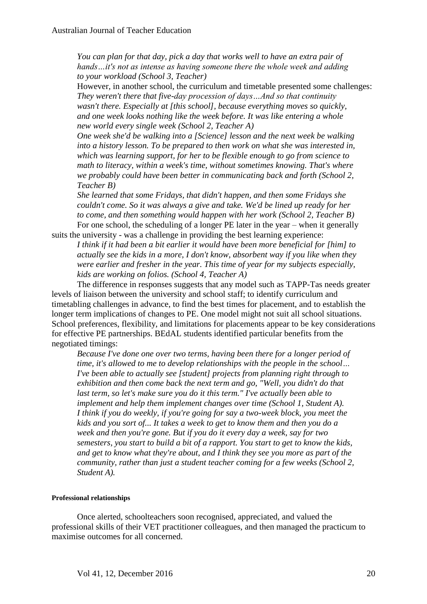*You can plan for that day, pick a day that works well to have an extra pair of hands…it's not as intense as having someone there the whole week and adding to your workload (School 3, Teacher)*

However, in another school, the curriculum and timetable presented some challenges: *They weren't there that five-day procession of days…And so that continuity wasn't there. Especially at [this school], because everything moves so quickly, and one week looks nothing like the week before. It was like entering a whole new world every single week (School 2, Teacher A)*

*One week she'd be walking into a [Science] lesson and the next week be walking into a history lesson. To be prepared to then work on what she was interested in, which was learning support, for her to be flexible enough to go from science to math to literacy, within a week's time, without sometimes knowing. That's where we probably could have been better in communicating back and forth (School 2, Teacher B)*

*She learned that some Fridays, that didn't happen, and then some Fridays she couldn't come. So it was always a give and take. We'd be lined up ready for her to come, and then something would happen with her work (School 2, Teacher B)* For one school, the scheduling of a longer PE later in the year – when it generally

suits the university - was a challenge in providing the best learning experience: *I think if it had been a bit earlier it would have been more beneficial for [him] to actually see the kids in a more, I don't know, absorbent way if you like when they were earlier and fresher in the year. This time of year for my subjects especially, kids are working on folios. (School 4, Teacher A)*

The difference in responses suggests that any model such as TAPP-Tas needs greater levels of liaison between the university and school staff; to identify curriculum and timetabling challenges in advance, to find the best times for placement, and to establish the longer term implications of changes to PE. One model might not suit all school situations. School preferences, flexibility, and limitations for placements appear to be key considerations for effective PE partnerships. BEdAL students identified particular benefits from the negotiated timings:

*Because I've done one over two terms, having been there for a longer period of time, it's allowed to me to develop relationships with the people in the school… I've been able to actually see [student] projects from planning right through to exhibition and then come back the next term and go, "Well, you didn't do that last term, so let's make sure you do it this term." I've actually been able to implement and help them implement changes over time (School 1, Student A). I think if you do weekly, if you're going for say a two-week block, you meet the kids and you sort of... It takes a week to get to know them and then you do a week and then you're gone. But if you do it every day a week, say for two semesters, you start to build a bit of a rapport. You start to get to know the kids, and get to know what they're about, and I think they see you more as part of the community, rather than just a student teacher coming for a few weeks (School 2, Student A).*

#### **Professional relationships**

Once alerted, schoolteachers soon recognised, appreciated, and valued the professional skills of their VET practitioner colleagues, and then managed the practicum to maximise outcomes for all concerned.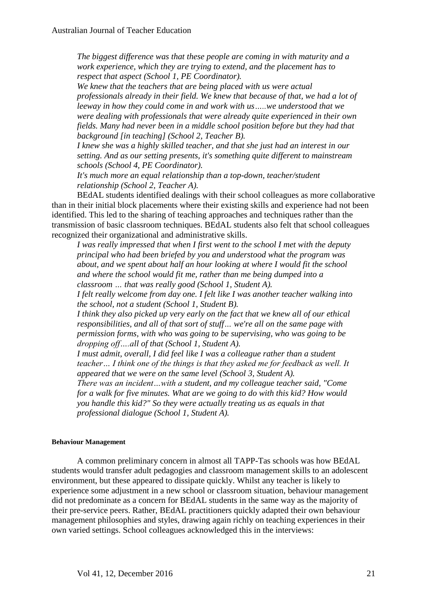*The biggest difference was that these people are coming in with maturity and a work experience, which they are trying to extend, and the placement has to respect that aspect (School 1, PE Coordinator).* 

*We knew that the teachers that are being placed with us were actual professionals already in their field. We knew that because of that, we had a lot of leeway in how they could come in and work with us…..we understood that we were dealing with professionals that were already quite experienced in their own fields. Many had never been in a middle school position before but they had that background [in teaching] (School 2, Teacher B).*

*I knew she was a highly skilled teacher, and that she just had an interest in our setting. And as our setting presents, it's something quite different to mainstream schools (School 4, PE Coordinator).*

*It's much more an equal relationship than a top-down, teacher/student relationship (School 2, Teacher A).*

BEdAL students identified dealings with their school colleagues as more collaborative than in their initial block placements where their existing skills and experience had not been identified. This led to the sharing of teaching approaches and techniques rather than the transmission of basic classroom techniques. BEdAL students also felt that school colleagues recognized their organizational and administrative skills.

*I was really impressed that when I first went to the school I met with the deputy principal who had been briefed by you and understood what the program was about, and we spent about half an hour looking at where I would fit the school and where the school would fit me, rather than me being dumped into a classroom … that was really good (School 1, Student A).*

*I felt really welcome from day one. I felt like I was another teacher walking into the school, not a student (School 1, Student B).*

*I think they also picked up very early on the fact that we knew all of our ethical responsibilities, and all of that sort of stuff… we're all on the same page with permission forms, with who was going to be supervising, who was going to be dropping off….all of that (School 1, Student A).*

*I must admit, overall, I did feel like I was a colleague rather than a student teacher… I think one of the things is that they asked me for feedback as well. It appeared that we were on the same level (School 3, Student A).*

*There was an incident…with a student, and my colleague teacher said, "Come for a walk for five minutes. What are we going to do with this kid? How would you handle this kid?" So they were actually treating us as equals in that professional dialogue (School 1, Student A).*

## **Behaviour Management**

A common preliminary concern in almost all TAPP-Tas schools was how BEdAL students would transfer adult pedagogies and classroom management skills to an adolescent environment, but these appeared to dissipate quickly. Whilst any teacher is likely to experience some adjustment in a new school or classroom situation, behaviour management did not predominate as a concern for BEdAL students in the same way as the majority of their pre-service peers. Rather, BEdAL practitioners quickly adapted their own behaviour management philosophies and styles, drawing again richly on teaching experiences in their own varied settings. School colleagues acknowledged this in the interviews: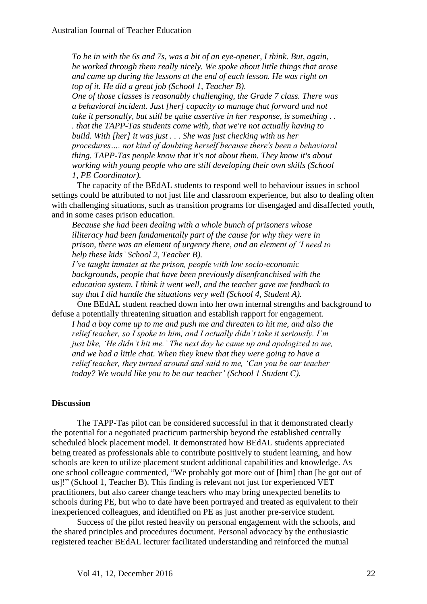*To be in with the 6s and 7s, was a bit of an eye-opener, I think. But, again, he worked through them really nicely. We spoke about little things that arose and came up during the lessons at the end of each lesson. He was right on top of it. He did a great job (School 1, Teacher B).*

*One of those classes is reasonably challenging, the Grade 7 class. There was a behavioral incident. Just [her] capacity to manage that forward and not take it personally, but still be quite assertive in her response, is something . . . that the TAPP-Tas students come with, that we're not actually having to build. With [her] it was just . . . She was just checking with us her procedures…. not kind of doubting herself because there's been a behavioral thing. TAPP-Tas people know that it's not about them. They know it's about working with young people who are still developing their own skills (School 1, PE Coordinator).*

The capacity of the BEdAL students to respond well to behaviour issues in school settings could be attributed to not just life and classroom experience, but also to dealing often with challenging situations, such as transition programs for disengaged and disaffected youth, and in some cases prison education.

*Because she had been dealing with a whole bunch of prisoners whose illiteracy had been fundamentally part of the cause for why they were in prison, there was an element of urgency there, and an element of 'I need to help these kids' School 2, Teacher B).*

*I've taught inmates at the prison, people with low socio-economic backgrounds, people that have been previously disenfranchised with the education system. I think it went well, and the teacher gave me feedback to say that I did handle the situations very well (School 4, Student A).*

One BEdAL student reached down into her own internal strengths and background to defuse a potentially threatening situation and establish rapport for engagement.

*I had a boy come up to me and push me and threaten to hit me, and also the relief teacher, so I spoke to him, and I actually didn't take it seriously. I'm just like, 'He didn't hit me.' The next day he came up and apologized to me, and we had a little chat. When they knew that they were going to have a relief teacher, they turned around and said to me, 'Can you be our teacher today? We would like you to be our teacher' (School 1 Student C).*

## **Discussion**

The TAPP-Tas pilot can be considered successful in that it demonstrated clearly the potential for a negotiated practicum partnership beyond the established centrally scheduled block placement model. It demonstrated how BEdAL students appreciated being treated as professionals able to contribute positively to student learning, and how schools are keen to utilize placement student additional capabilities and knowledge. As one school colleague commented, "We probably got more out of [him] than [he got out of us]!" (School 1, Teacher B). This finding is relevant not just for experienced VET practitioners, but also career change teachers who may bring unexpected benefits to schools during PE, but who to date have been portrayed and treated as equivalent to their inexperienced colleagues, and identified on PE as just another pre-service student.

Success of the pilot rested heavily on personal engagement with the schools, and the shared principles and procedures document. Personal advocacy by the enthusiastic registered teacher BEdAL lecturer facilitated understanding and reinforced the mutual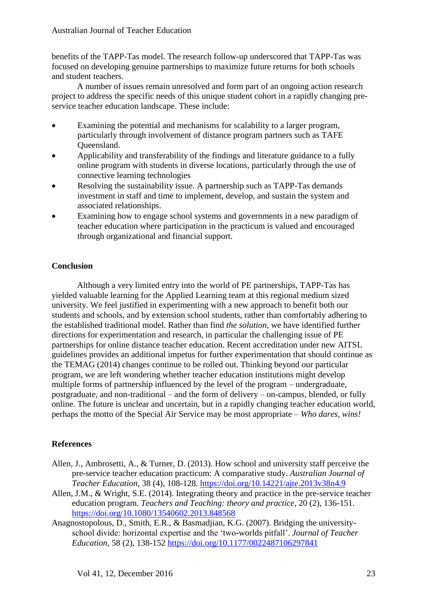benefits of the TAPP-Tas model. The research follow-up underscored that TAPP-Tas was focused on developing genuine partnerships to maximize future returns for both schools and student teachers.

A number of issues remain unresolved and form part of an ongoing action research project to address the specific needs of this unique student cohort in a rapidly changing preservice teacher education landscape. These include:

- Examining the potential and mechanisms for scalability to a larger program, particularly through involvement of distance program partners such as TAFE Queensland.
- Applicability and transferability of the findings and literature guidance to a fully online program with students in diverse locations, particularly through the use of connective learning technologies
- Resolving the sustainability issue. A partnership such as TAPP-Tas demands investment in staff and time to implement, develop, and sustain the system and associated relationships.
- Examining how to engage school systems and governments in a new paradigm of teacher education where participation in the practicum is valued and encouraged through organizational and financial support.

# **Conclusion**

Although a very limited entry into the world of PE partnerships, TAPP-Tas has yielded valuable learning for the Applied Learning team at this regional medium sized university. We feel justified in experimenting with a new approach to benefit both our students and schools, and by extension school students, rather than comfortably adhering to the established traditional model. Rather than find *the solution*, we have identified further directions for experimentation and research, in particular the challenging issue of PE partnerships for online distance teacher education. Recent accreditation under new AITSL guidelines provides an additional impetus for further experimentation that should continue as the TEMAG (2014) changes continue to be rolled out. Thinking beyond our particular program, we are left wondering whether teacher education institutions might develop multiple forms of partnership influenced by the level of the program – undergraduate, postgraduate, and non-traditional – and the form of delivery – on-campus, blended, or fully online. The future is unclear and uncertain, but in a rapidly changing teacher education world, perhaps the motto of the Special Air Service may be most appropriate – *Who dares, wins!*

# **References**

- Allen, J., Ambrosetti, A., & Turner, D. (2013). How school and university staff perceive the pre-service teacher education practicum: A comparative study. *Australian Journal of Teacher Education*, 38 (4), 108-128. https://doi.org/10.14221/ajte.2013v38n4.9
- Allen, J.M., & Wright, S.E. (2014). Integrating theory and practice in the pre-service teacher education program*. Teachers and Teaching: theory and practice*, 20 (2), 136-151. https://doi.org/10.1080/13540602.2013.848568
- Anagnostopolous, D., Smith, E.R., & Basmadjian, K.G. (2007). Bridging the universityschool divide: horizontal expertise and the 'two-worlds pitfall'. *Journal of Teacher Education*, 58 (2), 138-152 https://doi.org/10.1177/0022487106297841